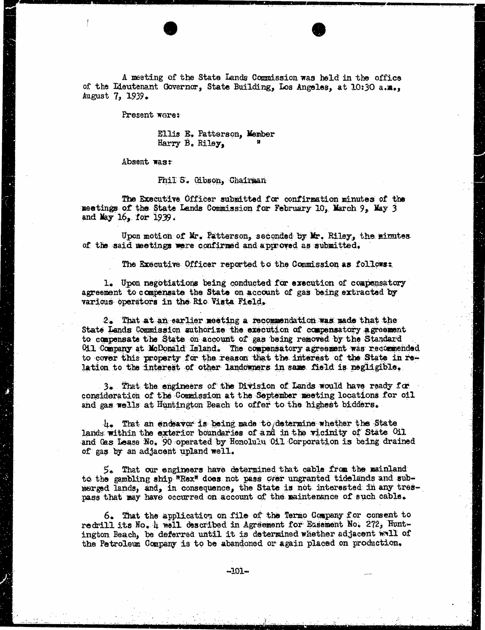A meeting of the State Lands Commission was held in the office of the Lieutenant Governor, State Building, Los Angeles, at 10:30 a.m., August 7, 1939.

Present were:

Ellis E. Patterson, Member Harry B. Riley,

Absent wast

 $\tilde{\mathcal{L}}$ 

Phil S. Gibson, Chairman

The Executive Officer submitted for confirmation minutes of the meatings of the State Lands Commission for February 10, March 9, May 3 and May  $16<sub>2</sub>$  for 1939.

Upon motion of Mr. Patterson, seconded by Mr. Riley, the minutes of the said meetings were confirmed and approved as submitted.

The Executive Officer reported to the Commission as follows:

1. Upon negotiations being conducted for execution of compensatory agreement to compensate the State on account of gas being extracted by various operators in the Rio Vista Field.

2. That at an earlier meeting a recommendation was made that the State Lands Commission authorize the execution of compensatory agreement to compensate the State on account of gas being removed by the Standard Oil Company at Mcdonald Island. The compensatory agreement was recommended to cover this property for the reason that the interest of the State in relation to the interest of other landowners in same field is negligible.

3. That the engineers of the Division of Lands would have ready for consideration of the Commission at the September meeting locations for oil and gas wells at Huntington Beach to offer to the highest bidders.

4. That an endeavor is being made to determine whether the State lands within the exterior boundaries of and in the vicinity of State Oil and Gas Lease No. 90 operated by Honolulu Oil Corporation is being drained of gas by an adjacent upland well.

5. That our engineers have determined that cable from the mainland to the gambling ship "Rex" does not pass over ungranted tidelands and submerged lands, and, in consequence, the State is not interested in any trespass that may have occurred on account of the maintenance of such cable.

6. That the application on file of the Termo Company for consent to redrill its No. 4 well described in Agreement for Basement No. 272, Huntington Beach, be deferred until it is determined whether adjacent wall of the Petroleum Company is to be abandoned or again placed on production.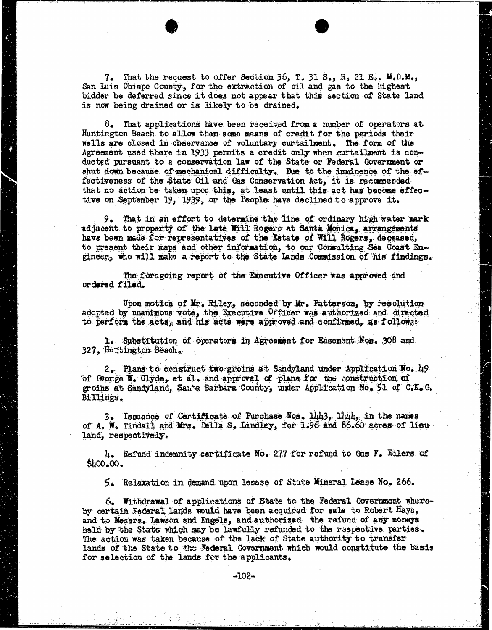7. That the request to offer Section 36, T. 31 S., R. 21 Es. M.D.M., San Luis Obispo County, for the extraction of oil and gas to the highest bidder be deferred since it does not appear that this section of State land is now being drained or is likely to be drained.

8. That applications have been received from a number of operators at Huntington Beach to allow them some means of credit for the periods their wells are closed in observance of voluntary curtailment. The form of the Agreement used there in 1933 permits a credit only when curtailment is conducted pursuant to a conservation law of the State or Federal Government or shut down because of mechanical difficulty. Due to the imminence of the effectiveness of the State Oil and Gas Conservation Act, it is recommended that no action be taken upon this, at least until this act has become effective on September 19, 1939, or the People have declined to approve it.

9. That in an effort to determine the line of ordinary high water mark adjacent to property of the late Will Rogers at Santa Monica, arrangements have been made for representatives of the Estate of Will Rogers, deceased, to present their maps and other information, to our Consulting Sea Coast Engineer, who will make a report to the State Lands Comadssion of his findings.

The foregoing report of the Executive Officer was approved and ordered filed.

Upon motion of Mr. Riley, seconded by Mr. Patterson, by resolution adopted by unanimous vote, the Executive Officer was authorized and directed to perform the acts, and his acts were approved and confirmed, as followat

1. Substitution of operators in Agreement for Easement Nos. 308 and 327, Herabington Beach.

2. Plans to construct two groins at Sandyland under Application No. 19 of George W. Clyde, et al. and approval of plans for the construction of groins at Sandyland, Santa Barbara County, under Application No. 51 of C.K. G. Billings.

3. Issuance of Certificate of Purchase Nos. 14143, 1lil, in the names of A. W. Tindall and Mrs. Della S. Lindley, for 1.96 and 86.60 acres of lieu land, respectively.

4. Refund indemnity certificate No. 277 for refund to Gus F. Eilers of \$400.00.

5. Relaxation in demand upon lessse of State Mineral Lease No. 266.

6. Withdrawal of applications of State to the Federal Goverment whereby certain Federal lands would have been acquired for sale to Robert Hays, and to Mesars. Lawson and Engels, and authorized the refund of any moneys held by the State which may be lawfully refunded to the respective parties. The action was taken because of the lack of State authority to transfer lands of the State to the Federal Government which would constitute the basis for selection of the lands for the applicants.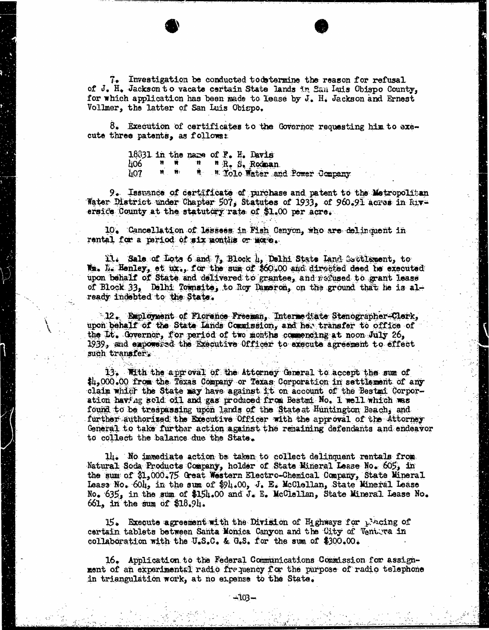7. Investigation be conducted todetermine the reason for refusal of J. H. Jackson to vacate certain State lands in San Inis Obispo County, for which application has been made to lease by J. H. Jackson and Ernest Vollmer, the latter of San Luis Obispo.

8. Execution of certificates to the Governor requesting him to exe-<br>cute three patents, as follows:

18031 in the name of F. H. Davis<br>ho6 =  $n = n - n$  R. S. Rodnar " R. S. Rodman 407 " Yolo Water and Power Company

9. Issuance of certificate of purchase and patent to the Metropolitan Water District under Chapter 507, Statutes of 1933, of 960.91 acres in Five ersice County at the statutory rate of \$1.00 per acre.

10. Cancellation of lessees in Fish Canyon, who are delinquent in rental for a period of six months or more.

ll: Sale of Lots 6 and 7, Block 4, Delhi State Land Eactlament, to Im. Is Hanley, et ux., for the sum of \$60.00 and directed deed he executed upon behalf of State and delivered to grantee, and refused to grant lease of Block 33, Delhi Toimsite, to Roy Dameron, on the ground that he is already indebted to the State.

12. Euployment of Florence Freeman, Intermediate Stenographer-Clerk, upon behalf of the State Lands Commission, and her transfer to office of the Lt. Governor, for period of two months commencing at noon July 26, 1939, and empowered the Executive Officer to execute agreement to effect such transfer.

13. With the approval of the Attorney General to accept the sum of  $\sharp\mu_2$ 000.00 from the Texas Company or Texas Corporation in settlement of any claim which the State may have against it on account of the Bestmi Corporation having sold oil and gas produced from Bestmi No. 1 well which was found to be trespassing upon lands of the Stateat Huntington Beach, and further authorized the Executive Officer with the approval of the Attorney General to take further action against the remaining defendants and endeavor to collect the balance due the State.

14. No immediate action be taken to collect delinquent rentals from Natural Soda Products Company, holder of State Mineral Lease No. 605, in the sum of \$1,000.75 Great Western Electro-Chemical Company, State Mineral the sum of [\\$1,000.75](https://1,000.75) Great Western Electro-Chemical Company, State Mineral Lease No. 604, in the sum of \$94.00, J. E. McClellan, State Mineral Lease No. 635, in the sum of \$154.00 and J. E. McClellan, State Mineral Lease No. 661, in the sum of \$18.94.

15. Execute agreement with the Division of Highways for placing of certain tablets between Santa Monica Canyon and the City of Ventura in collaboration with the U.S.C. & G.S. for the sum of \$300.00.

16. Application to the Federal Communications Commission for assignment of an experimental radio frequency for the purpose of radio telephone in triangulation work, at no expense to the State.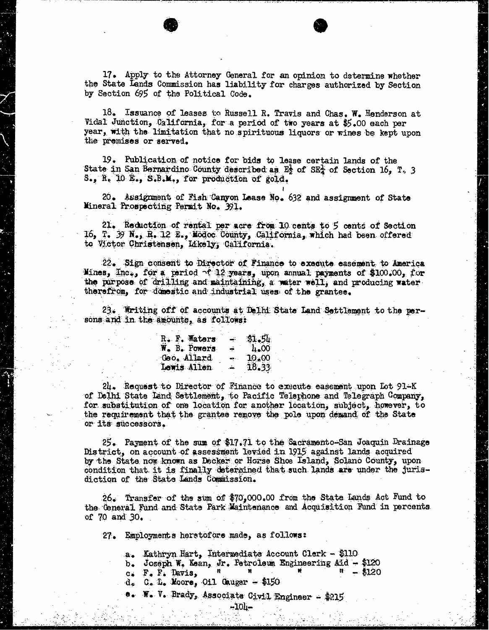17. Apply to the Attorney General for an opinion to determine whether the State Lands Commission has liability for charges authorized by Section by Section 695 of the Political Code.

18. Issuance of leases to Russell R. Travis and Chas. W. Henderson at Vidal Junction, California, for a period of two years at \$5.00 each per year, with the limitation that no spirituous liquors or wines be kept upon the premises or served.

19. Publication of notice for bids to lease certain lands of the State in San Bernardino County described as  $E_2^1$  of SE<sub>4</sub> of Section 16, T. 3 S., R. 10 E., S.B.M., for production of gold.

20. Assignment of Fish Canyon Lease No. 632 and assignment of State Mineral Prospecting Permit No. 391.

21. Reduction of rental per acre from 10 cents to 5 cents of Section 16, T. 39 N., R. 12 E., Modoc County, California, which had been offered to Victor Christensen, Idkely; California.

22. Sign consent to Director of Finance to execute easement to America Mines, Inc., for a period of 12 years, upon annual payments of \$100.00, for the purpose of drilling and maintaining, a water well, and producing water therefrom, for domestic and industrial uses of the grantee.

23. Writing off of accounts at Delhi State Land Settlement to the persons and in the amounts, as follows:

| R. F. Waters | تنم    | 31.54              |
|--------------|--------|--------------------|
| W. B. Powers | ÷      | $\mu_{\bullet}$ 00 |
| Geo. Allard  | æ.     | 10,00              |
| Lewis Allen  | المنقد | 18.33              |

24. Request to Director of Finance to execute easement upon Lot 91-K of Delhi State Land Settlement, to Pacific Telephone and Telegraph Company, for substitution of one location for another location, subject, however, to the requirement that the grantee remove the pole upon demand of the State or its successors.

25. Payment of the sum of \$17.71 to the Sacramento-San Joaquin Drainage District, on account of assessment levied in 1915 against lands acquired by the State now known as Decker or Horse Shoe Island, Solano County, upon condition that it is finally determined that such lands are under the jurisdiction of the State Lands Commission.

26. Transfer of the sum of \$[70,000.00](https://70,000.00) from the State Lands Act Fund to the General Fund and State Park Maintenance and Acquisition Fund in percents of 70 and 30.

27. Employments herstofore made, as follows:

a. Kathryn Hart, Intermediate Account Clerk - \$110

- b. Joseph W. Kean, Jr. Petroleum Engineering Aid \$120 c. F. F. Davis,  $\frac{n}{n}$  \$120
- 
- $d_e$  C. L. Moore, Oil Gauger \$150
- W. V. Brady, Associate Civil Engineer \$215

-104-